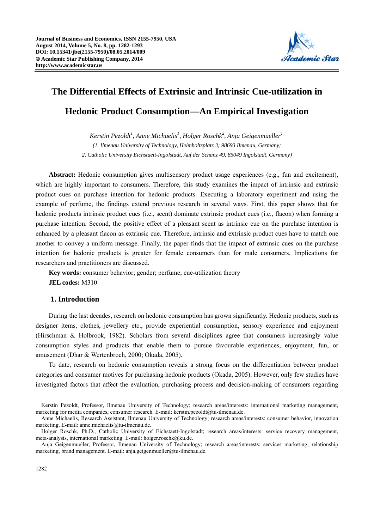

# **The Differential Effects of Extrinsic and Intrinsic Cue-utilization in Hedonic Product Consumption—An Empirical Investigation**

 $Kerstin\ Pezoldt<sup>1</sup>$ , Anne Michaelis<sup>1</sup>, Holger Roschk<sup>2</sup>, Anja Geigenmueller<sup>1</sup> *(1. Ilmenau University of Technology, Helmholtzplatz 3; 98693 Ilmenau, Germany; 2. Catholic University Eichstaett-Ingolstadt, Auf der Schanz 49, 85049 Ingolstadt, Germany)* 

**Abstract:** Hedonic consumption gives multisensory product usage experiences (e.g., fun and excitement), which are highly important to consumers. Therefore, this study examines the impact of intrinsic and extrinsic product cues on purchase intention for hedonic products. Executing a laboratory experiment and using the example of perfume, the findings extend previous research in several ways. First, this paper shows that for hedonic products intrinsic product cues (i.e., scent) dominate extrinsic product cues (i.e., flacon) when forming a purchase intention. Second, the positive effect of a pleasant scent as intrinsic cue on the purchase intention is enhanced by a pleasant flacon as extrinsic cue. Therefore, intrinsic and extrinsic product cues have to match one another to convey a uniform message. Finally, the paper finds that the impact of extrinsic cues on the purchase intention for hedonic products is greater for female consumers than for male consumers. Implications for researchers and practitioners are discussed.

**Key words:** consumer behavior; gender; perfume; cue-utilization theory **JEL codes:** M310

# **1. Introduction**

During the last decades, research on hedonic consumption has grown significantly. Hedonic products, such as designer items, clothes, jewellery etc., provide experiential consumption, sensory experience and enjoyment (Hirschman & Holbrook, 1982). Scholars from several disciplines agree that consumers increasingly value consumption styles and products that enable them to pursue favourable experiences, enjoyment, fun, or amusement (Dhar & Wertenbroch, 2000; Okada, 2005).

To date, research on hedonic consumption reveals a strong focus on the differentiation between product categories and consumer motives for purchasing hedonic products (Okada, 2005). However, only few studies have investigated factors that affect the evaluation, purchasing process and decision-making of consumers regarding

 $\overline{a}$ 

Kerstin Pezoldt, Professor, Ilmenau University of Technology; research areas/interests: international marketing management, marketing for media companies, consumer research. E-mail: kerstin.pezoldt@tu-ilmenau.de.

Anne Michaelis, Research Assistant, Ilmenau University of Technology; research areas/interests: consumer behavior, innovation marketing. E-mail: anne.michaelis@tu-ilmenau.de.

Holger Roschk, Ph.D., Catholic University of Eichstaett-Ingolstadt; research areas/interests: service recovery management, meta-analysis, international marketing. E-mail: holger.roschk@ku.de.

Anja Geigenmueller, Professor, Ilmenau University of Technology; research areas/interests: services marketing, relationship marketing, brand management. E-mail: anja.geigenmueller@tu-ilmenau.de.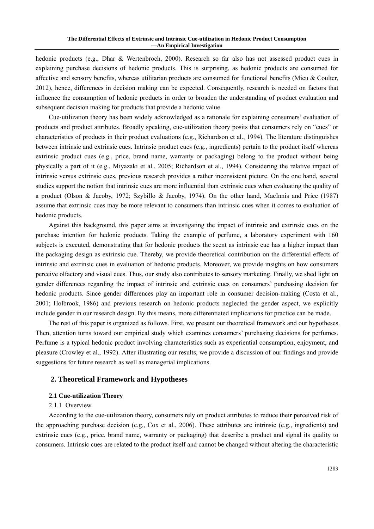hedonic products (e.g., Dhar & Wertenbroch, 2000). Research so far also has not assessed product cues in explaining purchase decisions of hedonic products. This is surprising, as hedonic products are consumed for affective and sensory benefits, whereas utilitarian products are consumed for functional benefits (Micu & Coulter, 2012), hence, differences in decision making can be expected. Consequently, research is needed on factors that influence the consumption of hedonic products in order to broaden the understanding of product evaluation and subsequent decision making for products that provide a hedonic value.

Cue-utilization theory has been widely acknowledged as a rationale for explaining consumers' evaluation of products and product attributes. Broadly speaking, cue-utilization theory posits that consumers rely on "cues" or characteristics of products in their product evaluations (e.g., Richardson et al., 1994). The literature distinguishes between intrinsic and extrinsic cues. Intrinsic product cues (e.g., ingredients) pertain to the product itself whereas extrinsic product cues (e.g., price, brand name, warranty or packaging) belong to the product without being physically a part of it (e.g., Miyazaki et al., 2005; Richardson et al., 1994). Considering the relative impact of intrinsic versus extrinsic cues, previous research provides a rather inconsistent picture. On the one hand, several studies support the notion that intrinsic cues are more influential than extrinsic cues when evaluating the quality of a product (Olson & Jacoby, 1972; Szybillo & Jacoby, 1974). On the other hand, MacInnis and Price (1987) assume that extrinsic cues may be more relevant to consumers than intrinsic cues when it comes to evaluation of hedonic products.

Against this background, this paper aims at investigating the impact of intrinsic and extrinsic cues on the purchase intention for hedonic products. Taking the example of perfume, a laboratory experiment with 160 subjects is executed, demonstrating that for hedonic products the scent as intrinsic cue has a higher impact than the packaging design as extrinsic cue. Thereby, we provide theoretical contribution on the differential effects of intrinsic and extrinsic cues in evaluation of hedonic products. Moreover, we provide insights on how consumers perceive olfactory and visual cues. Thus, our study also contributes to sensory marketing. Finally, we shed light on gender differences regarding the impact of intrinsic and extrinsic cues on consumers' purchasing decision for hedonic products. Since gender differences play an important role in consumer decision-making (Costa et al., 2001; Holbrook, 1986) and previous research on hedonic products neglected the gender aspect, we explicitly include gender in our research design. By this means, more differentiated implications for practice can be made.

The rest of this paper is organized as follows. First, we present our theoretical framework and our hypotheses. Then, attention turns toward our empirical study which examines consumers' purchasing decisions for perfumes. Perfume is a typical hedonic product involving characteristics such as experiential consumption, enjoyment, and pleasure (Crowley et al., 1992). After illustrating our results, we provide a discussion of our findings and provide suggestions for future research as well as managerial implications.

# **2. Theoretical Framework and Hypotheses**

## **2.1 Cue-utilization Theory**

#### 2.1.1 Overview

According to the cue-utilization theory, consumers rely on product attributes to reduce their perceived risk of the approaching purchase decision (e.g., Cox et al., 2006). These attributes are intrinsic (e.g., ingredients) and extrinsic cues (e.g., price, brand name, warranty or packaging) that describe a product and signal its quality to consumers. Intrinsic cues are related to the product itself and cannot be changed without altering the characteristic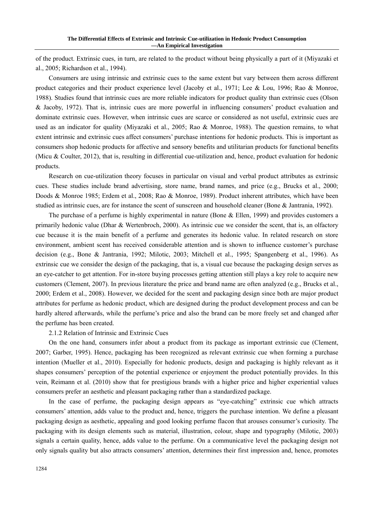of the product. Extrinsic cues, in turn, are related to the product without being physically a part of it (Miyazaki et al., 2005; Richardson et al., 1994).

Consumers are using intrinsic and extrinsic cues to the same extent but vary between them across different product categories and their product experience level (Jacoby et al., 1971; Lee & Lou, 1996; Rao & Monroe, 1988). Studies found that intrinsic cues are more reliable indicators for product quality than extrinsic cues (Olson & Jacoby, 1972). That is, intrinsic cues are more powerful in influencing consumers' product evaluation and dominate extrinsic cues. However, when intrinsic cues are scarce or considered as not useful, extrinsic cues are used as an indicator for quality (Miyazaki et al., 2005; Rao & Monroe, 1988). The question remains, to what extent intrinsic and extrinsic cues affect consumers' purchase intentions for hedonic products. This is important as consumers shop hedonic products for affective and sensory benefits and utilitarian products for functional benefits (Micu & Coulter, 2012), that is, resulting in differential cue-utilization and, hence, product evaluation for hedonic products.

Research on cue-utilization theory focuses in particular on visual and verbal product attributes as extrinsic cues. These studies include brand advertising, store name, brand names, and price (e.g., Brucks et al., 2000; Doods & Monroe 1985; Erdem et al., 2008; Rao & Monroe, 1989). Product inherent attributes, which have been studied as intrinsic cues, are for instance the scent of sunscreen and household cleaner (Bone & Jantrania, 1992).

The purchase of a perfume is highly experimental in nature (Bone & Ellen, 1999) and provides customers a primarily hedonic value (Dhar & Wertenbroch, 2000). As intrinsic cue we consider the scent, that is, an olfactory cue because it is the main benefit of a perfume and generates its hedonic value. In related research on store environment, ambient scent has received considerable attention and is shown to influence customer's purchase decision (e.g., Bone & Jantrania, 1992; Milotic, 2003; Mitchell et al., 1995; Spangenberg et al., 1996). As extrinsic cue we consider the design of the packaging, that is, a visual cue because the packaging design serves as an eye-catcher to get attention. For in-store buying processes getting attention still plays a key role to acquire new customers (Clement, 2007). In previous literature the price and brand name are often analyzed (e.g., Brucks et al., 2000; Erdem et al., 2008). However, we decided for the scent and packaging design since both are major product attributes for perfume as hedonic product, which are designed during the product development process and can be hardly altered afterwards, while the perfume's price and also the brand can be more freely set and changed after the perfume has been created.

## 2.1.2 Relation of Intrinsic and Extrinsic Cues

On the one hand, consumers infer about a product from its package as important extrinsic cue (Clement, 2007; Garber, 1995). Hence, packaging has been recognized as relevant extrinsic cue when forming a purchase intention (Mueller et al., 2010). Especially for hedonic products, design and packaging is highly relevant as it shapes consumers' perception of the potential experience or enjoyment the product potentially provides. In this vein, Reimann et al. (2010) show that for prestigious brands with a higher price and higher experiential values consumers prefer an aesthetic and pleasant packaging rather than a standardized package.

In the case of perfume, the packaging design appears as "eye-catching" extrinsic cue which attracts consumers' attention, adds value to the product and, hence, triggers the purchase intention. We define a pleasant packaging design as aesthetic, appealing and good looking perfume flacon that arouses consumer's curiosity. The packaging with its design elements such as material, illustration, colour, shape and typography (Milotic, 2003) signals a certain quality, hence, adds value to the perfume. On a communicative level the packaging design not only signals quality but also attracts consumers' attention, determines their first impression and, hence, promotes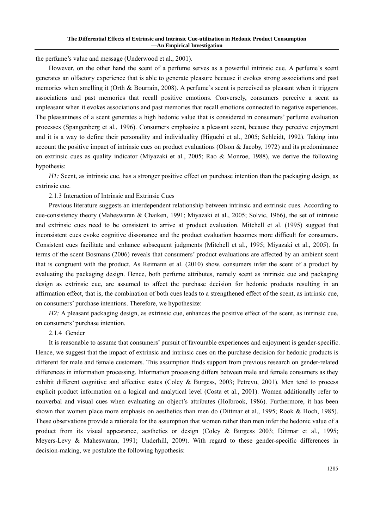the perfume's value and message (Underwood et al., 2001).

However, on the other hand the scent of a perfume serves as a powerful intrinsic cue. A perfume's scent generates an olfactory experience that is able to generate pleasure because it evokes strong associations and past memories when smelling it (Orth & Bourrain, 2008). A perfume's scent is perceived as pleasant when it triggers associations and past memories that recall positive emotions. Conversely, consumers perceive a scent as unpleasant when it evokes associations and past memories that recall emotions connected to negative experiences. The pleasantness of a scent generates a high hedonic value that is considered in consumers' perfume evaluation processes (Spangenberg et al., 1996). Consumers emphasize a pleasant scent, because they perceive enjoyment and it is a way to define their personality and individuality (Higuchi et al., 2005; Schleidt, 1992). Taking into account the positive impact of intrinsic cues on product evaluations (Olson & Jacoby, 1972) and its predominance on extrinsic cues as quality indicator (Miyazaki et al., 2005; Rao & Monroe, 1988), we derive the following hypothesis:

*H1*: Scent, as intrinsic cue, has a stronger positive effect on purchase intention than the packaging design, as extrinsic cue.

2.1.3 Interaction of Intrinsic and Extrinsic Cues

Previous literature suggests an interdependent relationship between intrinsic and extrinsic cues. According to cue-consistency theory (Maheswaran & Chaiken, 1991; Miyazaki et al., 2005; Solvic, 1966), the set of intrinsic and extrinsic cues need to be consistent to arrive at product evaluation. Mitchell et al. (1995) suggest that inconsistent cues evoke cognitive dissonance and the product evaluation becomes more difficult for consumers. Consistent cues facilitate and enhance subsequent judgments (Mitchell et al., 1995; Miyazaki et al., 2005). In terms of the scent Bosmans (2006) reveals that consumers' product evaluations are affected by an ambient scent that is congruent with the product. As Reimann et al. (2010) show, consumers infer the scent of a product by evaluating the packaging design. Hence, both perfume attributes, namely scent as intrinsic cue and packaging design as extrinsic cue, are assumed to affect the purchase decision for hedonic products resulting in an affirmation effect, that is, the combination of both cues leads to a strengthened effect of the scent, as intrinsic cue, on consumers' purchase intentions. Therefore, we hypothesize:

*H2*: A pleasant packaging design, as extrinsic cue, enhances the positive effect of the scent, as intrinsic cue, on consumers' purchase intention.

# 2.1.4 Gender

It is reasonable to assume that consumers' pursuit of favourable experiences and enjoyment is gender-specific. Hence, we suggest that the impact of extrinsic and intrinsic cues on the purchase decision for hedonic products is different for male and female customers. This assumption finds support from previous research on gender-related differences in information processing. Information processing differs between male and female consumers as they exhibit different cognitive and affective states (Coley & Burgess, 2003; Petrevu, 2001). Men tend to process explicit product information on a logical and analytical level (Costa et al., 2001). Women additionally refer to nonverbal and visual cues when evaluating an object's attributes (Holbrook, 1986). Furthermore, it has been shown that women place more emphasis on aesthetics than men do (Dittmar et al., 1995; Rook & Hoch, 1985). These observations provide a rationale for the assumption that women rather than men infer the hedonic value of a product from its visual appearance, aesthetics or design (Coley & Burgess 2003; Dittmar et al., 1995; Meyers-Levy & Maheswaran, 1991; Underhill, 2009). With regard to these gender-specific differences in decision-making, we postulate the following hypothesis: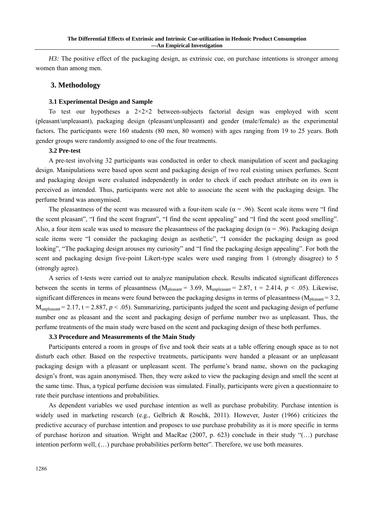*H3*: The positive effect of the packaging design, as extrinsic cue, on purchase intentions is stronger among women than among men.

## **3. Methodology**

#### **3.1 Experimental Design and Sample**

To test our hypotheses a  $2\times2\times2$  between-subjects factorial design was employed with scent (pleasant/unpleasant), packaging design (pleasant/unpleasant) and gender (male/female) as the experimental factors. The participants were 160 students (80 men, 80 women) with ages ranging from 19 to 25 years. Both gender groups were randomly assigned to one of the four treatments.

#### **3.2 Pre-test**

A pre-test involving 32 participants was conducted in order to check manipulation of scent and packaging design. Manipulations were based upon scent and packaging design of two real existing unisex perfumes. Scent and packaging design were evaluated independently in order to check if each product attribute on its own is perceived as intended. Thus, participants were not able to associate the scent with the packaging design. The perfume brand was anonymised.

The pleasantness of the scent was measured with a four-item scale ( $\alpha$  = .96). Scent scale items were "I find the scent pleasant", "I find the scent fragrant", "I find the scent appealing" and "I find the scent good smelling". Also, a four item scale was used to measure the pleasantness of the packaging design ( $\alpha$  = .96). Packaging design scale items were "I consider the packaging design as aesthetic", "I consider the packaging design as good looking", "The packaging design arouses my curiosity" and "I find the packaging design appealing". For both the scent and packaging design five-point Likert-type scales were used ranging from 1 (strongly disagree) to 5 (strongly agree).

A series of t-tests were carried out to analyze manipulation check. Results indicated significant differences between the scents in terms of pleasantness ( $M_{\text{pleasant}} = 3.69$ ,  $M_{\text{unpleasant}} = 2.87$ ,  $t = 2.414$ ,  $p < .05$ ). Likewise, significant differences in means were found between the packaging designs in terms of pleasantness ( $M_{\text{pleasant}} = 3.2$ ,  $M<sub>unpleasant</sub> = 2.17, t = 2.887, p < .05$ . Summarizing, participants judged the scent and packaging design of perfume number one as pleasant and the scent and packaging design of perfume number two as unpleasant. Thus, the perfume treatments of the main study were based on the scent and packaging design of these both perfumes.

## **3.3 Procedure and Measurements of the Main Study**

Participants entered a room in groups of five and took their seats at a table offering enough space as to not disturb each other. Based on the respective treatments, participants were handed a pleasant or an unpleasant packaging design with a pleasant or unpleasant scent. The perfume's brand name, shown on the packaging design's front, was again anonymised. Then, they were asked to view the packaging design and smell the scent at the same time. Thus, a typical perfume decision was simulated. Finally, participants were given a questionnaire to rate their purchase intentions and probabilities.

As dependent variables we used purchase intention as well as purchase probability. Purchase intention is widely used in marketing research (e.g., Gelbrich & Roschk, 2011). However, Juster (1966) criticizes the predictive accuracy of purchase intention and proposes to use purchase probability as it is more specific in terms of purchase horizon and situation. Wright and MacRae (2007, p. 623) conclude in their study "(…) purchase intention perform well, (…) purchase probabilities perform better". Therefore, we use both measures.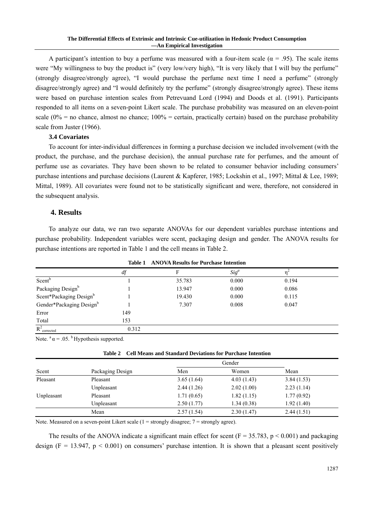A participant's intention to buy a perfume was measured with a four-item scale ( $\alpha$  = .95). The scale items were "My willingness to buy the product is" (very low/very high), "It is very likely that I will buy the perfume" (strongly disagree/strongly agree), "I would purchase the perfume next time I need a perfume" (strongly disagree/strongly agree) and "I would definitely try the perfume" (strongly disagree/strongly agree). These items were based on purchase intention scales from Petrevuand Lord (1994) and Doods et al. (1991). Participants responded to all items on a seven-point Likert scale. The purchase probability was measured on an eleven-point scale (0% = no chance, almost no chance;  $100%$  = certain, practically certain) based on the purchase probability scale from Juster (1966).

# **3.4 Covariates**

To account for inter-individual differences in forming a purchase decision we included involvement (with the product, the purchase, and the purchase decision), the annual purchase rate for perfumes, and the amount of perfume use as covariates. They have been shown to be related to consumer behavior including consumers' purchase intentions and purchase decisions (Laurent & Kapferer, 1985; Lockshin et al., 1997; Mittal & Lee, 1989; Mittal, 1989). All covariates were found not to be statistically significant and were, therefore, not considered in the subsequent analysis.

# **4. Results**

To analyze our data, we ran two separate ANOVAs for our dependent variables purchase intentions and purchase probability. Independent variables were scent, packaging design and gender. The ANOVA results for purchase intentions are reported in Table 1 and the cell means in Table 2.

|                            | таріе т<br>ANOVA Results for Purchase Intention |        |         |       |  |
|----------------------------|-------------------------------------------------|--------|---------|-------|--|
|                            | df                                              |        | $Sig^a$ |       |  |
| Scent <sup>b</sup>         |                                                 | 35.783 | 0.000   | 0.194 |  |
| Packaging Designb          |                                                 | 13.947 | 0.000   | 0.086 |  |
| Scent*Packaging Designb    |                                                 | 19.430 | 0.000   | 0.115 |  |
| Gender*Packaging Designb   |                                                 | 7.307  | 0.008   | 0.047 |  |
| Error                      | 149                                             |        |         |       |  |
| Total                      | 153                                             |        |         |       |  |
| $R^2$ <sub>corrected</sub> | 0.312                                           |        |         |       |  |

 $ATOVA$  **D** 

Note.  $a \alpha = .05$ . <sup>b</sup> Hypothesis supported.

|  |  |  | Table 2 Cell Means and Standard Deviations for Purchase Intention |  |
|--|--|--|-------------------------------------------------------------------|--|
|--|--|--|-------------------------------------------------------------------|--|

| Scent      | Packaging Design | Men        | Women      | Mean       |
|------------|------------------|------------|------------|------------|
| Pleasant   | Pleasant         | 3.65(1.64) | 4.03(1.43) | 3.84(1.53) |
|            | Unpleasant       | 2.44(1.26) | 2.02(1.00) | 2.23(1.14) |
| Unpleasant | Pleasant         | 1.71(0.65) | 1.82(1.15) | 1.77(0.92) |
|            | Unpleasant       | 2.50(1.77) | 1.34(0.38) | 1.92(1.40) |
|            | Mean             | 2.57(1.54) | 2.30(1.47) | 2.44(1.51) |

Note. Measured on a seven-point Likert scale  $(1 =$  strongly disagree;  $7 =$  strongly agree).

The results of the ANOVA indicate a significant main effect for scent ( $F = 35.783$ ,  $p \le 0.001$ ) and packaging design (F = 13.947,  $p < 0.001$ ) on consumers' purchase intention. It is shown that a pleasant scent positively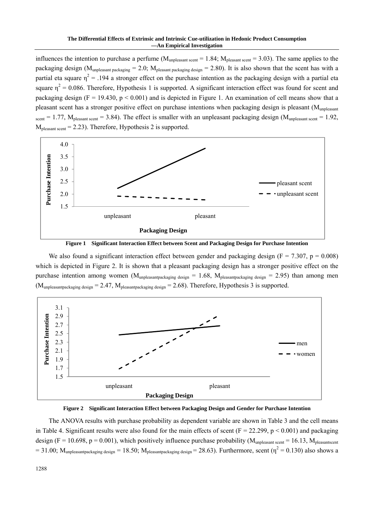influences the intention to purchase a perfume  $(M_{\text{unpleasant seen}} = 1.84; M_{\text{pleasant seen}} = 3.03)$ . The same applies to the packaging design (M<sub>unpleasant packaging</sub> = 2.0; M<sub>pleasant packaging design</sub> = 2.80). It is also shown that the scent has with a partial eta square  $\eta^2$  = .194 a stronger effect on the purchase intention as the packaging design with a partial eta square  $\eta^2 = 0.086$ . Therefore, Hypothesis 1 is supported. A significant interaction effect was found for scent and packaging design ( $F = 19.430$ ,  $p < 0.001$ ) and is depicted in Figure 1. An examination of cell means show that a pleasant scent has a stronger positive effect on purchase intentions when packaging design is pleasant (Munpleasant scent = 1.77,  $M_{\text{pleasant seen}} = 3.84$ ). The effect is smaller with an unpleasant packaging design ( $M_{\text{unplesasant seen}} = 1.92$ ,  $M<sub>pleasant</sub>$  scent = 2.23). Therefore, Hypothesis 2 is supported.



**Figure 1 Significant Interaction Effect between Scent and Packaging Design for Purchase Intention** 

We also found a significant interaction effect between gender and packaging design ( $F = 7.307$ ,  $p = 0.008$ ) which is depicted in Figure 2. It is shown that a pleasant packaging design has a stronger positive effect on the purchase intention among women ( $M_{\text{unpleasantpackage}} = 1.68$ ,  $M_{\text{pleasantpackage}} = 2.95$ ) than among men  $(M_{\text{unpleasantpackage}} = 2.47, M_{\text{pleasantpackage}} = 2.68)$ . Therefore, Hypothesis 3 is supported.





The ANOVA results with purchase probability as dependent variable are shown in Table 3 and the cell means in Table 4. Significant results were also found for the main effects of scent ( $F = 22.299$ ,  $p < 0.001$ ) and packaging design (F = 10.698, p = 0.001), which positively influence purchase probability ( $M<sub>unpleasant secnt</sub> = 16.13$ ,  $M<sub>pleasant secnt</sub>$  $= 31.00$ ;  $M_{\text{unpleasantpackage}} = 18.50$ ;  $M_{\text{pleasantpackage}} = 28.63$ ). Furthermore, scent ( $\eta^2 = 0.130$ ) also shows a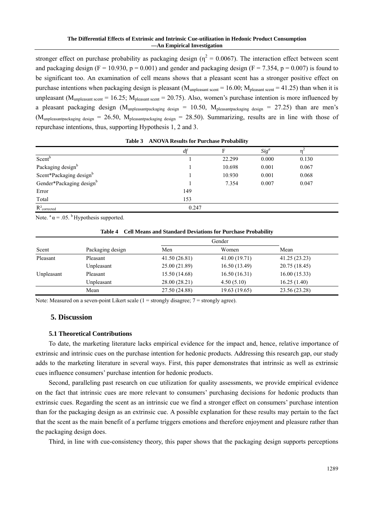#### **The Differential Effects of Extrinsic and Intrinsic Cue-utilization in Hedonic Product Consumption —An Empirical Investigation**

stronger effect on purchase probability as packaging design ( $\eta^2 = 0.0067$ ). The interaction effect between scent and packaging design (F = 10.930, p = 0.001) and gender and packaging design (F = 7.354, p = 0.007) is found to be significant too. An examination of cell means shows that a pleasant scent has a stronger positive effect on purchase intentions when packaging design is pleasant ( $M<sub>unpleasant secent</sub> = 16.00$ ;  $M<sub>pleasant secent</sub> = 41.25$ ) than when it is unpleasant ( $M<sub>unpleasant secnt</sub> = 16.25$ ;  $M<sub>pleasant secnt</sub> = 20.75$ ). Also, women's purchase intention is more influenced by a pleasant packaging design (M<sub>unpleasantpackaging design</sub> = 10.50, M<sub>pleasantpackaging design</sub> = 27.25) than are men's  $(M_{\text{unpleasantpackageing design}} = 26.50, M_{\text{pleasantpackageing design}} = 28.50)$ . Summarizing, results are in line with those of repurchase intentions, thus, supporting Hypothesis 1, 2 and 3.

|                            | $d\!f$ | F      | $Sig^a$ |       |  |
|----------------------------|--------|--------|---------|-------|--|
| Scent <sup>b</sup>         |        | 22.299 | 0.000   | 0.130 |  |
| Packaging designb          |        | 10.698 | 0.001   | 0.067 |  |
| Scent*Packaging designb    |        | 10.930 | 0.001   | 0.068 |  |
| Gender*Packaging designb   |        | 7.354  | 0.007   | 0.047 |  |
| Error                      | 149    |        |         |       |  |
| Total                      | 153    |        |         |       |  |
| $R^2$ <sub>corrected</sub> | 0.247  |        |         |       |  |

**Table 3 ANOVA Results for Purchase Probability** 

Note.  $a = 0.05$ . b Hypothesis supported.

|            |                  |               | Gender        |               |
|------------|------------------|---------------|---------------|---------------|
| Scent      | Packaging design | Men           | Women         | Mean          |
| Pleasant   | Pleasant         | 41.50(26.81)  | 41.00 (19.71) | 41.25(23.23)  |
|            | Unpleasant       | 25.00 (21.89) | 16.50(13.49)  | 20.75 (18.45) |
| Unpleasant | Pleasant         | 15.50 (14.68) | 16.50(16.31)  | 16.00(15.33)  |
|            | Unpleasant       | 28.00 (28.21) | 4.50(5.10)    | 16.25(1.40)   |
|            | Mean             | 27.50 (24.88) | 19.63 (19.65) | 23.56 (23.28) |

Note: Measured on a seven-point Likert scale (1 = strongly disagree; 7 = strongly agree).

### **5. Discussion**

## **5.1 Theoretical Contributions**

To date, the marketing literature lacks empirical evidence for the impact and, hence, relative importance of extrinsic and intrinsic cues on the purchase intention for hedonic products. Addressing this research gap, our study adds to the marketing literature in several ways. First, this paper demonstrates that intrinsic as well as extrinsic cues influence consumers' purchase intention for hedonic products.

Second, paralleling past research on cue utilization for quality assessments, we provide empirical evidence on the fact that intrinsic cues are more relevant to consumers' purchasing decisions for hedonic products than extrinsic cues. Regarding the scent as an intrinsic cue we find a stronger effect on consumers' purchase intention than for the packaging design as an extrinsic cue. A possible explanation for these results may pertain to the fact that the scent as the main benefit of a perfume triggers emotions and therefore enjoyment and pleasure rather than the packaging design does.

Third, in line with cue-consistency theory, this paper shows that the packaging design supports perceptions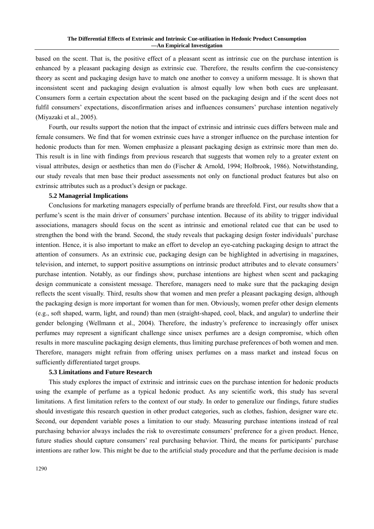based on the scent. That is, the positive effect of a pleasant scent as intrinsic cue on the purchase intention is enhanced by a pleasant packaging design as extrinsic cue. Therefore, the results confirm the cue-consistency theory as scent and packaging design have to match one another to convey a uniform message. It is shown that inconsistent scent and packaging design evaluation is almost equally low when both cues are unpleasant. Consumers form a certain expectation about the scent based on the packaging design and if the scent does not fulfil consumers' expectations, disconfirmation arises and influences consumers' purchase intention negatively (Miyazaki et al., 2005).

Fourth, our results support the notion that the impact of extrinsic and intrinsic cues differs between male and female consumers. We find that for women extrinsic cues have a stronger influence on the purchase intention for hedonic products than for men. Women emphasize a pleasant packaging design as extrinsic more than men do. This result is in line with findings from previous research that suggests that women rely to a greater extent on visual attributes, design or aesthetics than men do (Fischer & Arnold, 1994; Holbrook, 1986). Notwithstanding, our study reveals that men base their product assessments not only on functional product features but also on extrinsic attributes such as a product's design or package.

## **5.2 Managerial Implications**

Conclusions for marketing managers especially of perfume brands are threefold. First, our results show that a perfume's scent is the main driver of consumers' purchase intention. Because of its ability to trigger individual associations, managers should focus on the scent as intrinsic and emotional related cue that can be used to strengthen the bond with the brand. Second, the study reveals that packaging design foster individuals' purchase intention. Hence, it is also important to make an effort to develop an eye-catching packaging design to attract the attention of consumers. As an extrinsic cue, packaging design can be highlighted in advertising in magazines, television, and internet, to support positive assumptions on intrinsic product attributes and to elevate consumers' purchase intention. Notably, as our findings show, purchase intentions are highest when scent and packaging design communicate a consistent message. Therefore, managers need to make sure that the packaging design reflects the scent visually. Third, results show that women and men prefer a pleasant packaging design, although the packaging design is more important for women than for men. Obviously, women prefer other design elements (e.g., soft shaped, warm, light, and round) than men (straight-shaped, cool, black, and angular) to underline their gender belonging (Wellmann et al., 2004). Therefore, the industry's preference to increasingly offer unisex perfumes may represent a significant challenge since unisex perfumes are a design compromise, which often results in more masculine packaging design elements, thus limiting purchase preferences of both women and men. Therefore, managers might refrain from offering unisex perfumes on a mass market and instead focus on sufficiently differentiated target groups.

## **5.3 Limitations and Future Research**

This study explores the impact of extrinsic and intrinsic cues on the purchase intention for hedonic products using the example of perfume as a typical hedonic product. As any scientific work, this study has several limitations. A first limitation refers to the context of our study. In order to generalize our findings, future studies should investigate this research question in other product categories, such as clothes, fashion, designer ware etc. Second, our dependent variable poses a limitation to our study. Measuring purchase intentions instead of real purchasing behavior always includes the risk to overestimate consumers' preference for a given product. Hence, future studies should capture consumers' real purchasing behavior. Third, the means for participants' purchase intentions are rather low. This might be due to the artificial study procedure and that the perfume decision is made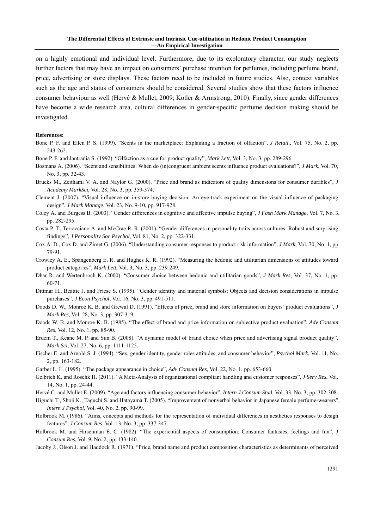on a highly emotional and individual level. Furthermore, due to its exploratory character, our study neglects further factors that may have an impact on consumers' purchase intention for perfumes, including perfume brand, price, advertising or store displays. These factors need to be included in future studies. Also, context variables such as the age and status of consumers should be considered. Several studies show that these factors influence consumer behaviour as well (Hervé & Mullet, 2009; Kotler & Armstrong, 2010). Finally, since gender differences have become a wide research area, cultural differences in gender-specific perfume decision making should be investigated.

#### **References:**

- Bone P. F. and Ellen P. S. (1999). "Scents in the marketplace: Explaining a fraction of olfaction", *J Retail*., Vol. 75, No. 2, pp. 243-262.
- Bone P. F. and Jantrania S. (1992). "Olfaction as a cue for product quality", *Mark Lett*, Vol. 3, No. 3, pp. 289-296.
- Bosmans A. (2006). "Scent and sensibilities: When do (in)congruent ambient scents influence product evaluations?", *J Mark*, Vol. 70, No. 3, pp. 32-43.
- Brucks M., Zeithaml V. A. and Naylor G. (2000). "Price and brand as indicators of quality dimensions for consumer durables", *J Academy MarkSci*, Vol. 28, No. 3, pp. 359-374.
- Clement J. (2007). "Visual influence on in-store buying decision: An eye-track experiment on the visual influence of packaging design", *J Mark Manage*, Vol. 23, No. 9-10, pp. 917-928.
- Coley A. and Burgess B. (2003). "Gender differences in cognitive and affective impulse buying", *J Fash Mark Manage*, Vol. 7, No. 3, pp. 282-295.
- Costa P. T., Terracciano A. and McCrae R. R. (2001). "Gender differences in personality traits across cultures: Robust and surprising findings", *J Personality Soc Psychol*, Vol. 81, No. 2, pp. 322-331.
- Cox A. D., Cox D. and Zimet G. (2006). "Understanding consumer responses to product risk information", *J Mark*, Vol. 70, No. 1, pp. 79-91.
- Crowley A. E., Spangenberg E. R. and Hughes K. R. (1992). "Measuring the hedonic and utilitarian dimensions of attitudes toward product categories", *Mark Lett*, Vol. 3, No. 3, pp. 239-249.
- Dhar R. and Wertenbroch K. (2000). "Consumer choice between hedonic and utilitarian goods", *J Mark Res*, Vol. 37, No. 1, pp. 60-71.
- Dittmar H., Beattie J. and Friese S. (1995). "Gender identity and material symbols: Objects and decision considerations in impulse purchases", *J Econ Psychol*, Vol. 16, No. 3, pp. 491-511.
- Doods D. W., Monroe K. B. and Grewal D. (1991). "Effects of price, brand and store information on buyers' product evaluations", *J Mark Res*, Vol. 28, No. 3, pp. 307-319.
- Doods W. B. and Monroe K. B. (1985). "The effect of brand and price information on subjective product evaluation", *Adv Consum Res*, Vol. 12, No. 1, pp. 85-90.
- Erdem T., Keane M. P. and Sun B. (2008). "A dynamic model of brand choice when price and advertising signal product quality", *Mark Sci*, Vol. 27, No. 6, pp. 1111-1125.
- Fischer E. and Arnold S. J. (1994). "Sex, gender identity, gender roles attitudes, and consumer behavior", *Psychol Mark*, Vol. 11, No. 2, pp. 163-182.
- Garber L. L. (1995). "The package appearance in choice", *Adv Consum Res*, Vol. 22, No. 1, pp. 653-660.
- Gelbrich K. and Roschk H. (2011). "A Meta-Analysis of organizational compliant handling and customer responses", *J Serv Res*, Vol. 14, No. 1, pp. 24-44.
- Hervé C. and Mullet E. (2009). "Age and factors influencing consumer behavior", *Intern J Consum Stud*, Vol. 33, No. 3, pp. 302-308.
- Higuchi T., Shoji K., Taguchi S. and Hatayama T. (2005). "Improvement of nonverbal behavior in Japanese female perfume-wearers", *Intern J Psychol*, Vol. 40, No. 2, pp. 90-99.
- Holbrook M. (1986). "Aims, concepts and methods for the representation of individual differences in aesthetics responses to design features", *J Consum Res*, Vol. 13, No. 3, pp. 337-347.
- Holbrook M. and Hirschman E. C. (1982). "The experiential aspects of consumption: Consumer fantasies, feelings and fun", *J Consum Res*, Vol. 9, No. 2, pp. 133-140.

Jacoby J., Olson J. and Haddock R. (1971). "Price, brand name and product composition characteristics as determinants of perceived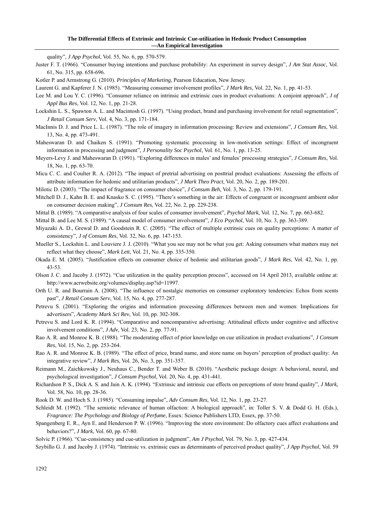#### **The Differential Effects of Extrinsic and Intrinsic Cue-utilization in Hedonic Product Consumption —An Empirical Investigation**

quality", *J App Psychol*, Vol. 55, No. 6, pp. 570-579.

Juster F. T. (1966). "Consumer buying intentions and purchase probability: An experiment in survey design", *J Am Stat Assoc*, Vol. 61, No. 315, pp. 658-696.

Kotler P. and Armstrong G. (2010). *Principles of Marketing*, Pearson Education, New Jersey.

- Laurent G. and Kapferer J. N. (1985). "Measuring consumer involvement profiles", *J Mark Res*, Vol. 22, No. 1, pp. 41-53.
- Lee M. and Lou Y. C. (1996). "Consumer reliance on intrinsic and extrinsic cues in product evaluations: A conjoint approach", *J of Appl Bus Res*, Vol. 12, No. 1, pp. 21-28.
- Lockshin L. S., Spawton A. L. and Macintosh G. (1997). "Using product, brand and purchasing involvement for retail segmentation", *J Retail Consum Serv*, Vol. 4, No. 3, pp. 171-184.
- MacInnis D. J. and Price L. L. (1987). "The role of imagery in information processing: Review and extensions", *J Consum Res*, Vol. 13, No. 4, pp. 473-491.

Maheswaran D. and Chaiken S. (1991). "Promoting systematic processing in low-motivation settings: Effect of incongruent information in processing and judgment", *J Personality Soc Psychol*, Vol. 61, No. 1, pp. 13-25.

- Meyers-Levy J. and Maheswaran D. (1991). "Exploring differences in males' and females' processing strategies", *J Consum Res*, Vol. 18, No. 1, pp. 63-70.
- Micu C. C. and Coulter R. A. (2012). "The impact of pretrial advertising on posttrial product evaluations: Assessing the effects of attribute information for hedonic and utilitarian products", *J Mark Theo Pract*, Vol. 20, No. 2, pp. 189-201.

Milotic D. (2003). "The impact of fragrance on consumer choice", *J Consum Beh*, Vol. 3, No. 2, pp. 179-191.

Mitchell D. J., Kahn B. E. and Knasko S. C. (1995). "There's something in the air: Effects of congruent or incongruent ambient odor on consumer decision making", *J Consum Res*, Vol. 22, No. 2, pp. 229-238.

Mittal B. (1989). "A comparative analysis of four scales of consumer involvement", *Psychol Mark*, Vol. 12, No. 7, pp. 663-682.

- Mittal B. and Lee M. S. (1989). "A causal model of consumer involvement", *J Eco Psychol*, Vol. 10, No. 3, pp. 363-389.
- Miyazaki A. D., Grewal D. and Goodstein R. C. (2005). "The effect of multiple extrinsic cues on quality perceptions: A matter of consistency", *J of Consum Res*, Vol. 32, No. 6, pp. 147-153.
- Mueller S., Lockshin L. and Louviere J. J. (2010). "What you see may not be what you get: Asking consumers what matters may not reflect what they choose", *Mark Lett*, Vol. 21, No. 4, pp. 335-350.
- Okada E. M. (2005). "Justification effects on consumer choice of hedonic and utilitarian goods", *J Mark Res*, Vol. 42, No. 1, pp. 43-53.
- Olson J. C. and Jacoby J. (1972). "Cue utilization in the quality perception process", accessed on 14 April 2013, available online at: http://www.acrwebsite.org/volumes/display.asp?id=11997.
- Orth U. R. and Bourrain A. (2008). "The influence of nostalgic memories on consumer exploratory tendencies: Echos from scents past", *J Retail Consum Serv*, Vol. 15, No. 4, pp. 277-287.
- Petrevu S. (2001). "Exploring the origins and information processing differences between men and women: Implications for advertisers", *Academy Mark Sci Rev*, Vol. 10, pp. 302-308.
- Petrevu S. and Lord K. R. (1994). "Comparative and noncomparative advertising: Attitudinal effects under cognitive and affective involvement conditions", *J Adv*, Vol. 23, No. 2, pp. 77-91.
- Rao A. R. and Monroe K. B. (1988). "The moderating effect of prior knowledge on cue utilization in product evaluations", *J Consum Res*, Vol. 15, No. 2, pp. 253-264.
- Rao A. R. and Monroe K. B. (1989). "The effect of price, brand name, and store name on buyers' perception of product quality: An integrative review", *J Mark Res*, Vol. 26, No. 3, pp. 351-357.
- Reimann M., Zaichkowsky J., Neuhaus C., Bender T. and Weber B. (2010). "Aesthetic package design: A behavioral, neural, and psychological investigation", *J Consum Psychol*, Vol. 20, No. 4, pp. 431-441.
- Richardson P. S., Dick A. S. and Jain A. K. (1994). "Extrinsic and intrinsic cue effects on perceptions of store brand quality", *J Mark*, Vol. 58, No. 10, pp. 28-36.

Rook D. W. and Hoch S. J. (1985). "Consuming impulse", *Adv Consum Res*, Vol. 12, No. 1, pp. 23-27.

- Schleidt M. (1992). "The semiotic relevance of human olfaction: A biological approach", in: Toller S. V. & Dodd G. H. (Eds.), *Fragrance: The Psychology and Biology of Perfume*, Essex: Science Publishers LTD, Essex, pp. 37-50.
- Spangenberg E. R., Ayn E. and Henderson P. W. (1996). "Improving the store environment: Do olfactory cues affect evaluations and behaviors?", *J Mark*, Vol. 60, pp. 67-80.
- Solvic P. (1966). "Cue-consistency and cue-utilization in judgment", *Am J Psychol*, Vol. 79, No. 3, pp. 427-434.
- Szybillo G. J. and Jacoby J. (1974). "Intrinsic vs. extrinsic cues as determinants of perceived product quality", *J App Psychol*, Vol. 59